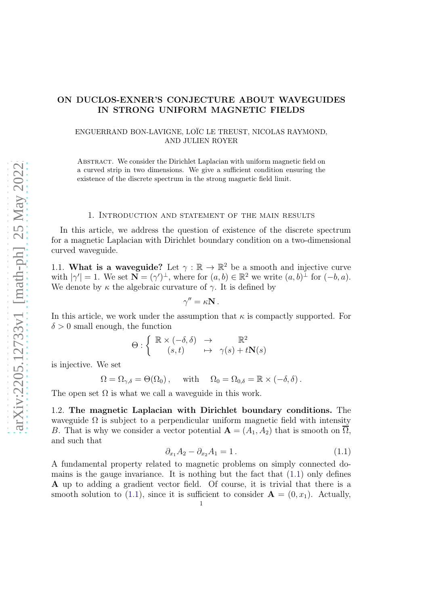# ON DUCLOS-EXNER'S CONJECTURE ABOUT WAVEGUIDES IN STRONG UNIFORM MAGNETIC FIELDS

ENGUERRAND BON-LAVIGNE, LOÏC LE TREUST, NICOLAS RAYMOND, AND JULIEN ROYER

ABSTRACT. We consider the Dirichlet Laplacian with uniform magnetic field on a curved strip in two dimensions. We give a sufficient condition ensuring the existence of the discrete spectrum in the strong magnetic field limit.

#### 1. Introduction and statement of the main results

In this article, we address the question of existence of the discrete spectrum for a magnetic Laplacian with Dirichlet boundary condition on a two-dimensional curved waveguide.

1.1. What is a waveguide? Let  $\gamma : \mathbb{R} \to \mathbb{R}^2$  be a smooth and injective curve with  $|\gamma'| = 1$ . We set  $\mathbf{N} = (\gamma')^{\perp}$ , where for  $(a, b) \in \mathbb{R}^2$  we write  $(a, b)^{\perp}$  for  $(-b, a)$ . We denote by  $\kappa$  the algebraic curvature of  $\gamma$ . It is defined by

$$
\gamma'' = \kappa \mathbf{N} \,.
$$

In this article, we work under the assumption that  $\kappa$  is compactly supported. For  $\delta > 0$  small enough, the function

$$
\Theta : \left\{ \begin{array}{ccc} \mathbb{R} \times (-\delta, \delta) & \to & \mathbb{R}^2 \\ (s,t) & \mapsto & \gamma(s) + t \mathbf{N}(s) \end{array} \right.
$$

is injective. We set

$$
\Omega = \Omega_{\gamma,\delta} = \Theta(\Omega_0) , \quad \text{ with } \quad \Omega_0 = \Omega_{0,\delta} = \mathbb{R} \times (-\delta, \delta) .
$$

<span id="page-0-1"></span>The open set  $\Omega$  is what we call a waveguide in this work.

1.2. The magnetic Laplacian with Dirichlet boundary conditions. The waveguide  $\Omega$  is subject to a perpendicular uniform magnetic field with intensity B. That is why we consider a vector potential  $\mathbf{A} = (A_1, A_2)$  that is smooth on  $\overline{\Omega}$ , and such that

<span id="page-0-0"></span>
$$
\partial_{x_1} A_2 - \partial_{x_2} A_1 = 1.
$$
\n(1.1)

A fundamental property related to magnetic problems on simply connected domains is the gauge invariance. It is nothing but the fact that  $(1.1)$  only defines A up to adding a gradient vector field. Of course, it is trivial that there is a smooth solution to [\(1.1\)](#page-0-0), since it is sufficient to consider  $\mathbf{A} = (0, x_1)$ . Actually,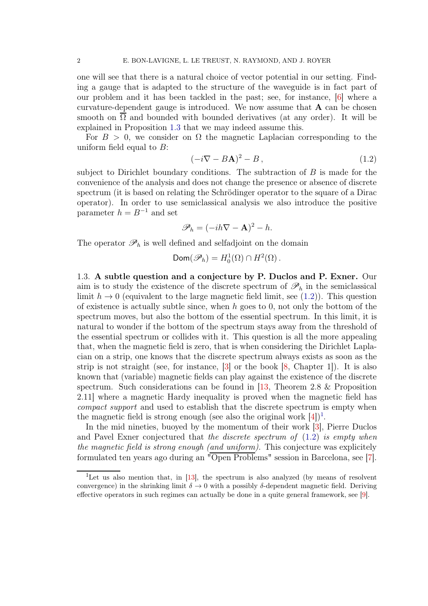one will see that there is a natural choice of vector potential in our setting. Finding a gauge that is adapted to the structure of the waveguide is in fact part of our problem and it has been tackled in the past; see, for instance, [\[6\]](#page-15-0) where a curvature-dependent gauge is introduced. We now assume that  $A$  can be chosen smooth on  $\overline{\Omega}$  and bounded with bounded derivatives (at any order). It will be explained in Proposition [1.3](#page-2-0) that we may indeed assume this.

For  $B > 0$ , we consider on  $\Omega$  the magnetic Laplacian corresponding to the uniform field equal to  $B$ :

<span id="page-1-0"></span>
$$
(-i\nabla - B\mathbf{A})^2 - B\,,\tag{1.2}
$$

subject to Dirichlet boundary conditions. The subtraction of  $B$  is made for the convenience of the analysis and does not change the presence or absence of discrete spectrum (it is based on relating the Schrödinger operator to the square of a Dirac operator). In order to use semiclassical analysis we also introduce the positive parameter  $h = B^{-1}$  and set

$$
\mathscr{P}_h = (-ih\nabla - \mathbf{A})^2 - h.
$$

The operator  $\mathscr{P}_h$  is well defined and selfadjoint on the domain

$$
\text{Dom}(\mathscr{P}_h) = H_0^1(\Omega) \cap H^2(\Omega).
$$

1.3. A subtle question and a conjecture by P. Duclos and P. Exner. Our aim is to study the existence of the discrete spectrum of  $\mathscr{P}_h$  in the semiclassical limit  $h \to 0$  (equivalent to the large magnetic field limit, see [\(1.2\)](#page-1-0)). This question of existence is actually subtle since, when  $h$  goes to 0, not only the bottom of the spectrum moves, but also the bottom of the essential spectrum. In this limit, it is natural to wonder if the bottom of the spectrum stays away from the threshold of the essential spectrum or collides with it. This question is all the more appealing that, when the magnetic field is zero, that is when considering the Dirichlet Laplacian on a strip, one knows that the discrete spectrum always exists as soon as the strip is not straight (see, for instance, [\[3\]](#page-15-1) or the book [\[8,](#page-16-0) Chapter 1]). It is also known that (variable) magnetic fields can play against the existence of the discrete spectrum. Such considerations can be found in [\[13,](#page-16-1) Theorem 2.8 & Proposition 2.11] where a magnetic Hardy inequality is proved when the magnetic field has compact support and used to establish that the discrete spectrum is empty when the magnetic field is strong enough (see also the original work  $[4]$ )<sup>[1](#page-1-1)</sup>.

In the mid nineties, buoyed by the momentum of their work [\[3\]](#page-15-1), Pierre Duclos and Pavel Exner conjectured that the discrete spectrum of  $(1.2)$  is empty when the magnetic field is strong enough (and uniform). This conjecture was explicitely formulated ten years ago during an "Open Problems" session in Barcelona, see [\[7\]](#page-16-2).

<span id="page-1-1"></span><sup>&</sup>lt;sup>1</sup>Let us also mention that, in [\[13\]](#page-16-1), the spectrum is also analyzed (by means of resolvent convergence) in the shrinking limit  $\delta \to 0$  with a possibly  $\delta$ -dependent magnetic field. Deriving effective operators in such regimes can actually be done in a quite general framework, see [\[9\]](#page-16-3).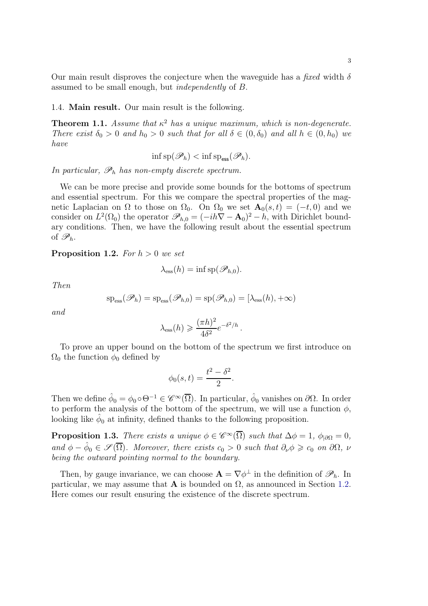Our main result disproves the conjecture when the waveguide has a fixed width  $\delta$ assumed to be small enough, but independently of B.

1.4. Main result. Our main result is the following.

<span id="page-2-2"></span>**Theorem 1.1.** Assume that  $\kappa^2$  has a unique maximum, which is non-degenerate. There exist  $\delta_0 > 0$  and  $h_0 > 0$  such that for all  $\delta \in (0, \delta_0)$  and all  $h \in (0, h_0)$  we have

$$
\inf \mathrm{sp}(\mathscr{P}_h) < \inf \mathrm{sp}_{\mathrm{ess}}(\mathscr{P}_h).
$$

In particular,  $\mathscr{P}_h$  has non-empty discrete spectrum.

We can be more precise and provide some bounds for the bottoms of spectrum and essential spectrum. For this we compare the spectral properties of the magnetic Laplacian on  $\Omega$  to those on  $\Omega_0$ . On  $\Omega_0$  we set  $\mathbf{A}_0(s,t) = (-t,0)$  and we consider on  $L^2(\Omega_0)$  the operator  $\mathscr{P}_{h,0} = (-ih\nabla - \mathbf{A}_0)^2 - h$ , with Dirichlet boundary conditions. Then, we have the following result about the essential spectrum of  $\mathscr{P}_h$ .

<span id="page-2-1"></span>**Proposition 1.2.** For  $h > 0$  we set

$$
\lambda_{\rm ess}(h) = \inf \mathrm{sp}(\mathscr{P}_{h,0}).
$$

Then

$$
\mathrm{sp}_{\mathrm{ess}}(\mathscr{P}_h)=\mathrm{sp}_{\mathrm{ess}}(\mathscr{P}_{h,0})=\mathrm{sp}(\mathscr{P}_{h,0})=[\lambda_{\mathrm{ess}}(h),+\infty)
$$

and

$$
\lambda_{\rm ess}(h) \geqslant \frac{(\pi h)^2}{4\delta^2} e^{-\delta^2/h}.
$$

To prove an upper bound on the bottom of the spectrum we first introduce on  $\Omega_0$  the function  $\phi_0$  defined by

$$
\phi_0(s,t) = \frac{t^2 - \delta^2}{2}.
$$

Then we define  $\hat{\phi}_0 = \phi_0 \circ \Theta^{-1} \in \mathscr{C}^\infty(\overline{\Omega})$ . In particular,  $\hat{\phi}_0$  vanishes on  $\partial\Omega$ . In order to perform the analysis of the bottom of the spectrum, we will use a function  $\phi$ , looking like  $\hat{\phi}_0$  at infinity, defined thanks to the following proposition.

<span id="page-2-0"></span>**Proposition 1.3.** There exists a unique  $\phi \in \mathscr{C}^{\infty}(\overline{\Omega})$  such that  $\Delta \phi = 1$ ,  $\phi_{|\partial \Omega} = 0$ , and  $\phi - \hat{\phi}_0 \in \mathscr{S}(\overline{\Omega})$ . Moreover, there exists  $c_0 > 0$  such that  $\partial_{\nu} \phi \geq c_0$  on  $\partial \Omega$ ,  $\nu$ being the outward pointing normal to the boundary.

Then, by gauge invariance, we can choose  $\mathbf{A} = \nabla \phi^{\perp}$  in the definition of  $\mathscr{P}_h$ . In particular, we may assume that **A** is bounded on  $\Omega$ , as announced in Section [1.2.](#page-0-1) Here comes our result ensuring the existence of the discrete spectrum.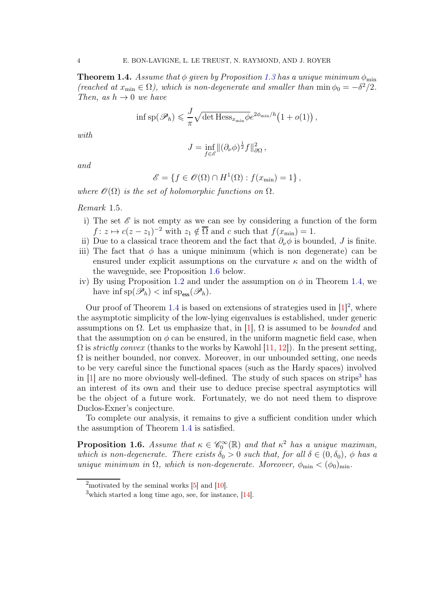<span id="page-3-1"></span>**Theorem 1.4.** Assume that  $\phi$  given by Proposition [1.3](#page-2-0) has a unique minimum  $\phi_{\min}$ (reached at  $x_{\min} \in \Omega$ ), which is non-degenerate and smaller than  $\min \phi_0 = -\delta^2/2$ . Then, as  $h \to 0$  we have

$$
\inf \mathrm{sp}(\mathscr{P}_h) \leqslant \frac{J}{\pi} \sqrt{\det \mathrm{Hess}_{x_{\min}} \phi} e^{2\phi_{\min}/h} (1 + o(1)),
$$

with

$$
J = \inf_{f \in \mathscr{E}} \|(\partial_{\nu} \phi)^{\frac{1}{2}} f\|_{\partial \Omega}^2,
$$

and

$$
\mathscr{E} = \{ f \in \mathscr{O}(\Omega) \cap H^1(\Omega) : f(x_{\min}) = 1 \},
$$

where  $\mathscr{O}(\Omega)$  is the set of holomorphic functions on  $\Omega$ .

Remark 1.5.

- i) The set  $\mathscr E$  is not empty as we can see by considering a function of the form  $f: z \mapsto c(z - z_1)^{-2}$  with  $z_1 \notin \overline{\Omega}$  and c such that  $f(x_{\min}) = 1$ .
- ii) Due to a classical trace theorem and the fact that  $\partial_{\nu}\phi$  is bounded, J is finite.
- iii) The fact that  $\phi$  has a unique minimum (which is non degenerate) can be ensured under explicit assumptions on the curvature  $\kappa$  and on the width of the waveguide, see Proposition [1.6](#page-3-0) below.
- iv) By using Proposition [1.2](#page-2-1) and under the assumption on  $\phi$  in Theorem [1.4,](#page-3-1) we have  $\inf \mathrm{sp}(\mathscr{P}_h) < \inf \mathrm{sp}_{\text{ess}}(\mathscr{P}_h)$ .

Our proof of Theorem [1.4](#page-3-1) is based on extensions of strategies used in  $[1]^2$  $[1]^2$ , where the asymptotic simplicity of the low-lying eigenvalues is established, under generic assumptions on  $\Omega$ . Let us emphasize that, in [\[1\]](#page-15-3),  $\Omega$  is assumed to be *bounded* and that the assumption on  $\phi$  can be ensured, in the uniform magnetic field case, when  $\Omega$  is *strictly convex* (thanks to the works by Kawohl [\[11,](#page-16-4) [12\]](#page-16-5)). In the present setting,  $\Omega$  is neither bounded, nor convex. Moreover, in our unbounded setting, one needs to be very careful since the functional spaces (such as the Hardy spaces) involved in  $[1]$  are no more obviously well-defined. The study of such spaces on strips<sup>[3](#page-3-3)</sup> has an interest of its own and their use to deduce precise spectral asymptotics will be the object of a future work. Fortunately, we do not need them to disprove Duclos-Exner's conjecture.

To complete our analysis, it remains to give a sufficient condition under which the assumption of Theorem [1.4](#page-3-1) is satisfied.

<span id="page-3-0"></span>**Proposition 1.6.** Assume that  $\kappa \in \mathscr{C}_0^{\infty}(\mathbb{R})$  and that  $\kappa^2$  has a unique maximun, which is non-degenerate. There exists  $\delta_0 > 0$  such that, for all  $\delta \in (0, \delta_0)$ ,  $\phi$  has a unique minimum in  $\Omega$ , which is non-degenerate. Moreover,  $\phi_{\min} < (\phi_0)_{\min}$ .

<sup>&</sup>lt;sup>2</sup>motivated by the seminal works  $[5]$  and  $[10]$ .

<span id="page-3-3"></span><span id="page-3-2"></span> $3$ which started a long time ago, see, for instance, [\[14\]](#page-16-7).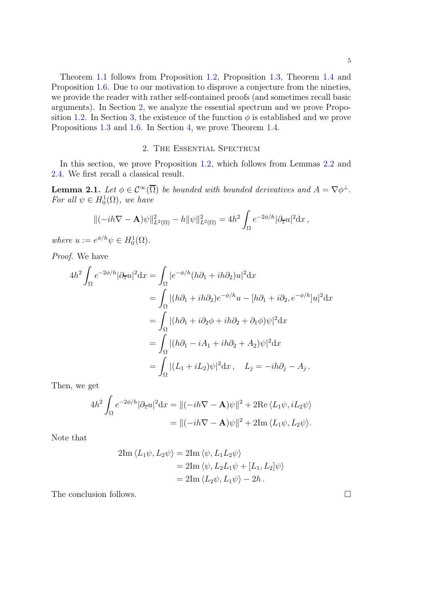Theorem [1.1](#page-2-2) follows from Proposition [1.2,](#page-2-1) Proposition [1.3,](#page-2-0) Theorem [1.4](#page-3-1) and Proposition [1.6.](#page-3-0) Due to our motivation to disprove a conjecture from the nineties, we provide the reader with rather self-contained proofs (and sometimes recall basic arguments). In Section [2,](#page-4-0) we analyze the essential spectrum and we prove Propo-sition [1.2.](#page-2-1) In Section [3,](#page-7-0) the existence of the function  $\phi$  is established and we prove Propositions [1.3](#page-2-0) and [1.6.](#page-3-0) In Section [4,](#page-12-0) we prove Theorem [1.4.](#page-3-1)

### 2. The Essential Spectrum

<span id="page-4-0"></span>In this section, we prove Proposition [1.2,](#page-2-1) which follows from Lemmas [2.2](#page-5-0) and [2.4.](#page-6-0) We first recall a classical result.

<span id="page-4-1"></span>**Lemma 2.1.** Let  $\phi \in C^{\infty}(\overline{\Omega})$  be bounded with bounded derivatives and  $A = \nabla \phi^{\perp}$ . For all  $\psi \in H_0^1(\Omega)$ , we have

$$
\|(-ih\nabla - \mathbf{A})\psi\|_{L^2(\Omega)}^2 - h\|\psi\|_{L^2(\Omega)}^2 = 4h^2 \int_{\Omega} e^{-2\phi/h} |\partial_{\overline{z}} u|^2 dx,
$$

where  $u := e^{\phi/h}\psi \in H_0^1(\Omega)$ .

Proof. We have

$$
4h^2 \int_{\Omega} e^{-2\phi/h} |\partial_{\overline{z}} u|^2 dx = \int_{\Omega} |e^{-\phi/h} (h\partial_1 + ih\partial_2) u|^2 dx
$$
  
\n
$$
= \int_{\Omega} |(h\partial_1 + ih\partial_2)e^{-\phi/h} u - [h\partial_1 + i\partial_2, e^{-\phi/h}] u|^2 dx
$$
  
\n
$$
= \int_{\Omega} |(h\partial_1 + i\partial_2\phi + ih\partial_2 + \partial_1\phi) \psi|^2 dx
$$
  
\n
$$
= \int_{\Omega} |(h\partial_1 - iA_1 + ih\partial_2 + A_2) \psi|^2 dx
$$
  
\n
$$
= \int_{\Omega} |(L_1 + iL_2) \psi|^2 dx, \quad L_j = -ih\partial_j - A_j.
$$

Then, we get

$$
4h^2 \int_{\Omega} e^{-2\phi/h} |\partial_{\overline{z}} u|^2 dx = ||(-ih\nabla - \mathbf{A})\psi||^2 + 2\text{Re}\langle L_1\psi, iL_2\psi\rangle
$$
  
= 
$$
||(-ih\nabla - \mathbf{A})\psi||^2 + 2\text{Im}\langle L_1\psi, L_2\psi\rangle.
$$

Note that

$$
2\mathrm{Im}\langle L_1\psi, L_2\psi\rangle = 2\mathrm{Im}\langle \psi, L_1L_2\psi\rangle
$$
  
= 
$$
2\mathrm{Im}\langle \psi, L_2L_1\psi + [L_1, L_2]\psi\rangle
$$
  
= 
$$
2\mathrm{Im}\langle L_2\psi, L_1\psi\rangle - 2h.
$$

The conclusion follows.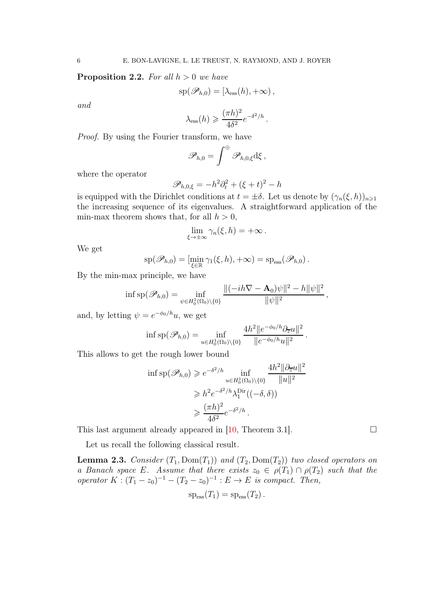<span id="page-5-0"></span>**Proposition 2.2.** For all  $h > 0$  we have

$$
\mathrm{sp}(\mathscr{P}_{h,0}) = [\lambda_{\mathrm{ess}}(h), +\infty),
$$

and

$$
\lambda_{\rm ess}(h) \geqslant \frac{(\pi h)^2}{4\delta^2} e^{-\delta^2/h}.
$$

Proof. By using the Fourier transform, we have

$$
\mathscr P_{h,0}=\int^\oplus\mathscr P_{h,0,\xi}\mathrm{d}\xi\,,
$$

where the operator

$$
\mathscr{P}_{h,0,\xi} = -h^2 \partial_t^2 + (\xi + t)^2 - h
$$

is equipped with the Dirichlet conditions at  $t = \pm \delta$ . Let us denote by  $(\gamma_n(\xi, h))_{n \geq 1}$ the increasing sequence of its eigenvalues. A straightforward application of the min-max theorem shows that, for all  $h > 0$ ,

$$
\lim_{\xi \to \pm \infty} \gamma_n(\xi, h) = +\infty \, .
$$

We get

$$
\mathrm{sp}(\mathscr{P}_{h,0}) = [\min_{\xi \in \mathbb{R}} \gamma_1(\xi,h), +\infty) = \mathrm{sp}_{\mathrm{ess}}(\mathscr{P}_{h,0}).
$$

By the min-max principle, we have

$$
\inf \mathrm{sp}(\mathscr{P}_{h,0}) = \inf_{\psi \in H_0^1(\Omega_0) \setminus \{0\}} \frac{\|(-ih\nabla - \mathbf{A}_0)\psi\|^2 - h\|\psi\|^2}{\|\psi\|^2},
$$

and, by letting  $\psi = e^{-\phi_0/h}u$ , we get

$$
\inf \mathrm{sp}(\mathscr{P}_{h,0}) = \inf_{u \in H_0^1(\Omega_0) \setminus \{0\}} \frac{4h^2 \|e^{-\phi_0/h}\partial_{\overline{z}} u\|^2}{\|e^{-\phi_0/h}u\|^2}.
$$

This allows to get the rough lower bound

$$
\inf \mathrm{sp}(\mathscr{P}_{h,0}) \geqslant e^{-\delta^2/h} \inf_{u \in H_0^1(\Omega_0) \setminus \{0\}} \frac{4h^2 \|\partial_{\overline{z}} u\|^2}{\|u\|^2}
$$

$$
\geqslant h^2 e^{-\delta^2/h} \lambda_1^{\mathrm{Dir}}((-\delta,\delta))
$$

$$
\geqslant \frac{(\pi h)^2}{4\delta^2} e^{-\delta^2/h}.
$$

This last argument already appeared in [\[10,](#page-16-6) Theorem 3.1].  $\square$ 

Let us recall the following classical result.

<span id="page-5-1"></span>**Lemma 2.3.** Consider  $(T_1, Dom(T_1))$  and  $(T_2, Dom(T_2))$  two closed operators on a Banach space E. Assume that there exists  $z_0 \in \rho(T_1) \cap \rho(T_2)$  such that the operator  $K: (T_1 - z_0)^{-1} - (T_2 - z_0)^{-1} : E \to E$  is compact. Then,

$$
sp_{\rm ess}(T_1)=sp_{\rm ess}(T_2).
$$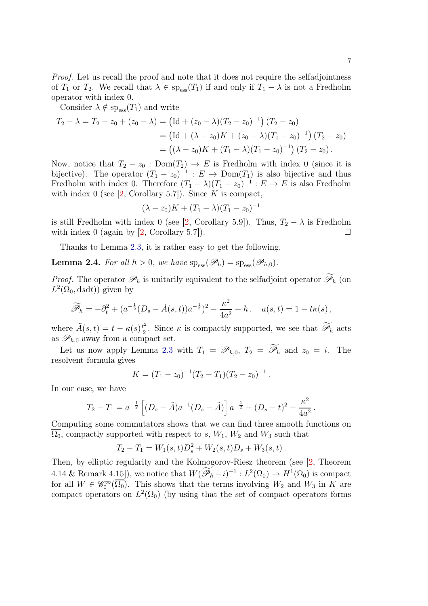Proof. Let us recall the proof and note that it does not require the selfadjointness of  $T_1$  or  $T_2$ . We recall that  $\lambda \in \text{sp}_{\text{ess}}(T_1)$  if and only if  $T_1 - \lambda$  is not a Fredholm operator with index 0.

Consider  $\lambda \notin \text{sp}_{\text{ess}}(T_1)$  and write

$$
T_2 - \lambda = T_2 - z_0 + (z_0 - \lambda) = (\text{Id} + (z_0 - \lambda)(T_2 - z_0)^{-1}) (T_2 - z_0)
$$
  
=  $(\text{Id} + (\lambda - z_0)K + (z_0 - \lambda)(T_1 - z_0)^{-1}) (T_2 - z_0)$   
=  $((\lambda - z_0)K + (T_1 - \lambda)(T_1 - z_0)^{-1}) (T_2 - z_0).$ 

Now, notice that  $T_2 - z_0$ : Dom $(T_2) \rightarrow E$  is Fredholm with index 0 (since it is bijective). The operator  $(T_1 - z_0)^{-1}$ :  $E \to \text{Dom}(T_1)$  is also bijective and thus Fredholm with index 0. Therefore  $(T_1 - \lambda)(T_1 - z_0)^{-1}$ :  $E \to E$  is also Fredholm with index 0 (see  $[2,$  Corollary 5.7]). Since K is compact,

$$
(\lambda - z_0)K + (T_1 - \lambda)(T_1 - z_0)^{-1}
$$

is still Fredholm with index 0 (see [\[2,](#page-15-5) Corollary 5.9]). Thus,  $T_2 - \lambda$  is Fredholm with index  $0$  (again by  $[2,$  Corollary 5.7]).

Thanks to Lemma [2.3,](#page-5-1) it is rather easy to get the following.

<span id="page-6-0"></span>**Lemma 2.4.** For all  $h > 0$ , we have  $sp_{ess}(\mathscr{P}_h) = sp_{ess}(\mathscr{P}_{h,0})$ .

*Proof.* The operator  $\mathcal{P}_h$  is unitarily equivalent to the selfadjoint operator  $\widetilde{\mathcal{P}}_h$  (on  $L^2(\Omega_0, dsdt)$  given by

$$
\widetilde{\mathscr{P}}_h = -\partial_t^2 + (a^{-\frac{1}{2}}(D_s - \tilde{A}(s,t))a^{-\frac{1}{2}})^2 - \frac{\kappa^2}{4a^2} - h\,, \quad a(s,t) = 1 - t\kappa(s)\,,
$$

where  $\tilde{A}(s,t) = t - \kappa(s) \frac{t^2}{2}$  $\frac{d^2}{2}$ . Since  $\kappa$  is compactly supported, we see that  $\widetilde{\mathscr{P}}_h$  acts as  $\mathscr{P}_{h,0}$  away from a compact set.

Let us now apply Lemma [2.3](#page-5-1) with  $T_1 = \mathscr{P}_{h,0}, T_2 = \widetilde{\mathscr{P}}_h$  and  $z_0 = i$ . The resolvent formula gives

$$
K = (T_1 - z_0)^{-1} (T_2 - T_1)(T_2 - z_0)^{-1}.
$$

In our case, we have

$$
T_2 - T_1 = a^{-\frac{1}{2}} \left[ (D_s - \tilde{A}) a^{-1} (D_s - \tilde{A}) \right] a^{-\frac{1}{2}} - (D_s - t)^2 - \frac{\kappa^2}{4a^2}.
$$

Computing some commutators shows that we can find three smooth functions on  $\Omega_0$ , compactly supported with respect to s,  $W_1$ ,  $W_2$  and  $W_3$  such that

$$
T_2 - T_1 = W_1(s,t)D_s^2 + W_2(s,t)D_s + W_3(s,t).
$$

Then, by elliptic regularity and the Kolmogorov-Riesz theorem (see [\[2,](#page-15-5) Theorem 4.14 & Remark 4.15]), we notice that  $W(\widetilde{\mathscr{P}}_h - i)^{-1} : L^2(\Omega_0) \to H^1(\Omega_0)$  is compact for all  $W \in \mathscr{C}_0^{\infty}(\overline{\Omega_0})$ . This shows that the terms involving  $W_2$  and  $W_3$  in K are compact operators on  $L^2(\Omega_0)$  (by using that the set of compact operators forms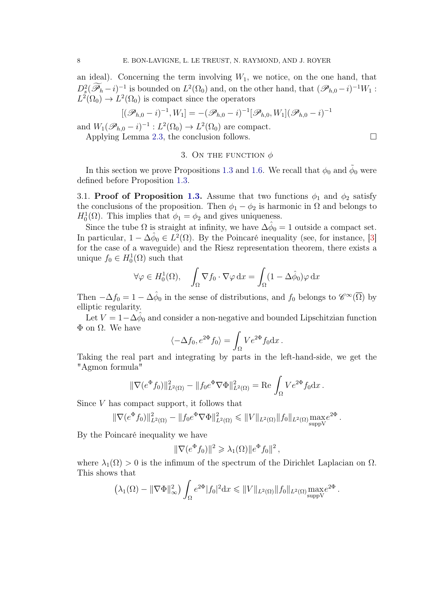an ideal). Concerning the term involving  $W_1$ , we notice, on the one hand, that  $D_s^2(\widetilde{\mathscr{P}}_h-i)^{-1}$  is bounded on  $L^2(\Omega_0)$  and, on the other hand, that  $(\mathscr{P}_{h,0}-i)^{-1}W_1$ :  $L^2(\Omega_0) \to L^2(\Omega_0)$  is compact since the operators

$$
[(\mathscr{P}_{h,0} - i)^{-1}, W_1] = -(\mathscr{P}_{h,0} - i)^{-1}[\mathscr{P}_{h,0}, W_1](\mathscr{P}_{h,0} - i)^{-1}
$$

and  $W_1(\mathscr{P}_{h,0} - i)^{-1} : L^2(\Omega_0) \to L^2(\Omega_0)$  are compact.

<span id="page-7-0"></span>Applying Lemma [2.3,](#page-5-1) the conclusion follows.

#### 3. ON THE FUNCTION  $\phi$

In this section we prove Propositions [1.3](#page-2-0) and [1.6.](#page-3-0) We recall that  $\phi_0$  and  $\tilde{\phi}_0$  were defined before Proposition [1.3.](#page-2-0)

3.1. Proof of Proposition [1.3.](#page-2-0) Assume that two functions  $\phi_1$  and  $\phi_2$  satisfy the conclusions of the proposition. Then  $\phi_1 - \phi_2$  is harmonic in  $\Omega$  and belongs to  $H_0^1(\Omega)$ . This implies that  $\phi_1 = \phi_2$  and gives uniqueness.

Since the tube  $\Omega$  is straight at infinity, we have  $\Delta\hat{\phi}_0 = 1$  outside a compact set. In particular,  $1 - \Delta \hat{\phi}_0 \in L^2(\Omega)$ . By the Poincaré inequality (see, for instance, [\[3\]](#page-15-1) for the case of a waveguide) and the Riesz representation theorem, there exists a unique  $f_0 \in H_0^1(\Omega)$  such that

$$
\forall \varphi \in H_0^1(\Omega), \quad \int_{\Omega} \nabla f_0 \cdot \nabla \varphi \, dx = \int_{\Omega} (1 - \Delta \hat{\phi}_0) \varphi \, dx
$$

Then  $-\Delta f_0 = 1 - \Delta \hat{\phi}_0$  in the sense of distributions, and  $f_0$  belongs to  $\mathscr{C}^{\infty}(\overline{\Omega})$  by elliptic regularity.

Let  $V = 1 - \Delta \hat{\phi}_0$  and consider a non-negative and bounded Lipschitzian function  $Φ$  on  $Ω$ . We have

$$
\langle -\Delta f_0, e^{2\Phi} f_0 \rangle = \int_{\Omega} V e^{2\Phi} f_0 \mathrm{d}x \,.
$$

Taking the real part and integrating by parts in the left-hand-side, we get the "Agmon formula"

$$
\|\nabla (e^{\Phi} f_0)\|_{L^2(\Omega)}^2 - \|f_0 e^{\Phi} \nabla \Phi\|_{L^2(\Omega)}^2 = \text{Re} \int_{\Omega} V e^{2\Phi} f_0 \, dx \,.
$$

Since V has compact support, it follows that

$$
\|\nabla (e^{\Phi} f_0)\|_{L^2(\Omega)}^2 - \|f_0 e^{\Phi} \nabla \Phi\|_{L^2(\Omega)}^2 \le \|V\|_{L^2(\Omega)} \|f_0\|_{L^2(\Omega)} \max_{\text{supp} V} e^{2\Phi}.
$$

By the Poincaré inequality we have

$$
\|\nabla(e^{\Phi}f_0)\|^2 \geqslant \lambda_1(\Omega) \|e^{\Phi}f_0\|^2,
$$

where  $\lambda_1(\Omega) > 0$  is the infimum of the spectrum of the Dirichlet Laplacian on  $\Omega$ . This shows that

$$
\left(\lambda_1(\Omega)-\|\nabla\Phi\|_{\infty}^2\right)\int_{\Omega}e^{2\Phi}|f_0|^2\mathrm{d} x\leqslant\|V\|_{L^2(\Omega)}\|f_0\|_{L^2(\Omega)}\max_{\text{suppV}}e^{2\Phi}.
$$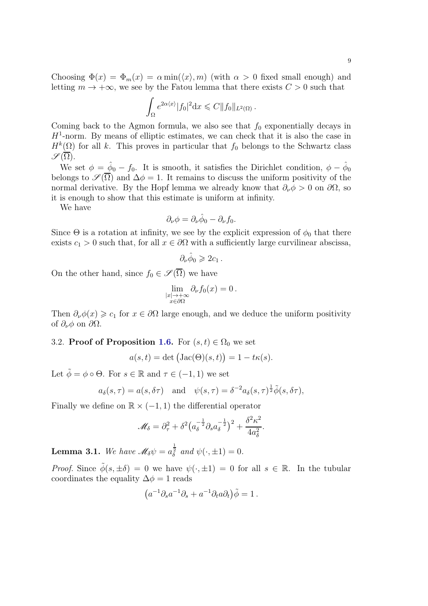Choosing  $\Phi(x) = \Phi_m(x) = \alpha \min(\langle x \rangle, m)$  (with  $\alpha > 0$  fixed small enough) and letting  $m \to +\infty$ , we see by the Fatou lemma that there exists  $C > 0$  such that

$$
\int_{\Omega} e^{2\alpha \langle x \rangle} |f_0|^2 \mathrm{d}x \leqslant C ||f_0||_{L^2(\Omega)}.
$$

Coming back to the Agmon formula, we also see that  $f_0$  exponentially decays in  $H<sup>1</sup>$ -norm. By means of elliptic estimates, we can check that it is also the case in  $H^k(\Omega)$  for all k. This proves in particular that  $f_0$  belongs to the Schwartz class  $\mathscr{S}(\overline{\Omega}).$ 

We set  $\phi = \hat{\phi}_0 - f_0$ . It is smooth, it satisfies the Dirichlet condition,  $\phi - \hat{\phi}_0$ belongs to  $\mathscr{S}(\overline{\Omega})$  and  $\Delta \phi = 1$ . It remains to discuss the uniform positivity of the normal derivative. By the Hopf lemma we already know that  $\partial_{\nu}\phi > 0$  on  $\partial\Omega$ , so it is enough to show that this estimate is uniform at infinity.

We have

$$
\partial_{\nu}\phi = \partial_{\nu}\hat{\phi}_0 - \partial_{\nu}f_0.
$$

Since  $\Theta$  is a rotation at infinity, we see by the explicit expression of  $\phi_0$  that there exists  $c_1 > 0$  such that, for all  $x \in \partial\Omega$  with a sufficiently large curvilinear abscissa,

$$
\partial_{\nu}\hat{\phi}_0\geqslant 2c_1\,.
$$

On the other hand, since  $f_0 \in \mathscr{S}(\overline{\Omega})$  we have

$$
\lim_{\substack{|x| \to +\infty \\ x \in \partial \Omega}} \partial_{\nu} f_0(x) = 0.
$$

Then  $\partial_{\nu}\phi(x) \geq c_1$  for  $x \in \partial\Omega$  large enough, and we deduce the uniform positivity of  $\partial_{\nu}\phi$  on  $\partial\Omega$ .

### 3.2. Proof of Proposition [1.6.](#page-3-0) For  $(s, t) \in \Omega_0$  we set

$$
a(s,t) = \det (\text{Jac}(\Theta)(s,t)) = 1 - t\kappa(s).
$$

Let  $\tilde{\phi} = \phi \circ \Theta$ . For  $s \in \mathbb{R}$  and  $\tau \in (-1, 1)$  we set

$$
a_{\delta}(s,\tau) = a(s,\delta\tau)
$$
 and  $\psi(s,\tau) = \delta^{-2}a_{\delta}(s,\tau)^{\frac{1}{2}}\tilde{\phi}(s,\delta\tau)$ ,

Finally we define on  $\mathbb{R} \times (-1,1)$  the differential operator

$$
\mathscr{M}_{\delta} = \partial_{\tau}^2 + \delta^2 \big( a_{\delta}^{-\frac{1}{2}} \partial_s a_{\delta}^{-\frac{1}{2}} \big)^2 + \frac{\delta^2 \kappa^2}{4a_{\delta}^2}.
$$

<span id="page-8-0"></span>**Lemma 3.1.** We have  $\mathscr{M}_{\delta}\psi = a_{\delta}^{\frac{1}{2}}$  and  $\psi(\cdot, \pm 1) = 0$ .

*Proof.* Since  $\tilde{\phi}(s, \pm \delta) = 0$  we have  $\psi(\cdot, \pm 1) = 0$  for all  $s \in \mathbb{R}$ . In the tubular coordinates the equality  $\Delta \phi = 1$  reads

$$
(a^{-1}\partial_s a^{-1}\partial_s + a^{-1}\partial_t a\partial_t)\tilde{\phi} = 1.
$$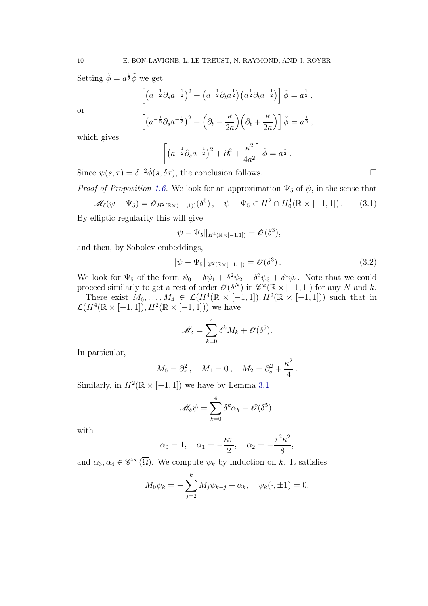Setting  $\check{\phi} = a^{\frac{1}{2}} \tilde{\phi}$  we get

$$
\[ \left( a^{-\frac{1}{2}} \partial_s a^{-\frac{1}{2}} \right)^2 + \left( a^{-\frac{1}{2}} \partial_t a^{\frac{1}{2}} \right) \left( a^{\frac{1}{2}} \partial_t a^{-\frac{1}{2}} \right) \] \check{\phi} = a^{\frac{1}{2}},
$$

or

$$
\[ \left( a^{-\frac{1}{2}} \partial_s a^{-\frac{1}{2}} \right)^2 + \left( \partial_t - \frac{\kappa}{2a} \right) \left( \partial_t + \frac{\kappa}{2a} \right) \] \check{\phi} = a^{\frac{1}{2}},
$$

which gives

$$
\[ \left( a^{-\frac{1}{2}} \partial_s a^{-\frac{1}{2}} \right)^2 + \partial_t^2 + \frac{\kappa^2}{4a^2} \right] \check{\phi} = a^{\frac{1}{2}}.
$$

Since  $\psi(s,\tau) = \delta^{-2}\check{\phi}(s,\delta\tau)$ , the conclusion follows.

<span id="page-9-0"></span>*Proof of Proposition [1.6.](#page-3-0)* We look for an approximation  $\Psi_5$  of  $\psi$ , in the sense that  $\mathscr{M}_{\delta}(\psi - \Psi_5) = \mathscr{O}_{H^2(\mathbb{R} \times (-1,1))}(\delta^5), \quad \psi - \Psi_5 \in H^2 \cap H_0^1(\mathbb{R} \times [-1,1])$ . (3.1)

By elliptic regularity this will give

$$
\|\psi - \Psi_5\|_{H^4(\mathbb{R} \times [-1,1])} = \mathscr{O}(\delta^3),
$$

and then, by Sobolev embeddings,

<span id="page-9-1"></span>
$$
\|\psi - \Psi_5\|_{\mathscr{C}^2(\mathbb{R} \times [-1,1])} = \mathscr{O}(\delta^3). \tag{3.2}
$$

We look for  $\Psi_5$  of the form  $\psi_0 + \delta \psi_1 + \delta^2 \psi_2 + \delta^3 \psi_3 + \delta^4 \psi_4$ . Note that we could proceed similarly to get a rest of order  $\mathscr{O}(\delta^N)$  in  $\mathscr{C}^k(\mathbb{R} \times [-1,1])$  for any N and k.

There exist  $M_0, \ldots, M_4 \in \mathcal{L}(H^4(\mathbb{R} \times [-1,1]), H^2(\mathbb{R} \times [-1,1]))$  such that in  $\mathcal{L}(H^4(\mathbb{R} \times [-1,1]), H^2(\mathbb{R} \times [-1,1]))$  we have

$$
\mathscr{M}_{\delta} = \sum_{k=0}^{4} \delta^k M_k + \mathscr{O}(\delta^5).
$$

In particular,

$$
M_0 = \partial_{\tau}^2
$$
,  $M_1 = 0$ ,  $M_2 = \partial_s^2 + \frac{\kappa^2}{4}$ .

Similarly, in  $H^2(\mathbb{R} \times [-1,1])$  we have by Lemma [3.1](#page-8-0)

$$
\mathscr{M}_{\delta}\psi = \sum_{k=0}^{4} \delta^k \alpha_k + \mathscr{O}(\delta^5),
$$

with

$$
\alpha_0 = 1, \quad \alpha_1 = -\frac{\kappa \tau}{2}, \quad \alpha_2 = -\frac{\tau^2 \kappa^2}{8},
$$

and  $\alpha_3, \alpha_4 \in \mathscr{C}^{\infty}(\overline{\Omega})$ . We compute  $\psi_k$  by induction on k. It satisfies

$$
M_0 \psi_k = -\sum_{j=2}^k M_j \psi_{k-j} + \alpha_k, \quad \psi_k(\cdot, \pm 1) = 0.
$$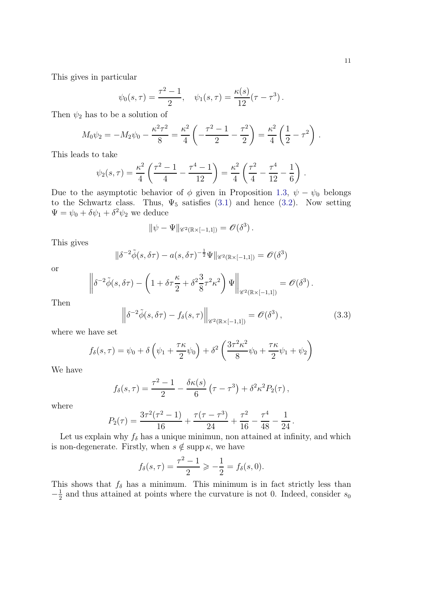This gives in particular

$$
\psi_0(s,\tau) = \frac{\tau^2 - 1}{2}, \quad \psi_1(s,\tau) = \frac{\kappa(s)}{12}(\tau - \tau^3).
$$

Then  $\psi_2$  has to be a solution of

$$
M_0\psi_2 = -M_2\psi_0 - \frac{\kappa^2\tau^2}{8} = \frac{\kappa^2}{4}\left(-\frac{\tau^2-1}{2}-\frac{\tau^2}{2}\right) = \frac{\kappa^2}{4}\left(\frac{1}{2}-\tau^2\right).
$$

This leads to take

$$
\psi_2(s,\tau) = \frac{\kappa^2}{4} \left( \frac{\tau^2 - 1}{4} - \frac{\tau^4 - 1}{12} \right) = \frac{\kappa^2}{4} \left( \frac{\tau^2}{4} - \frac{\tau^4}{12} - \frac{1}{6} \right) .
$$

Due to the asymptotic behavior of  $\phi$  given in Proposition [1.3,](#page-2-0)  $\psi - \psi_0$  belongs to the Schwartz class. Thus,  $\Psi_5$  satisfies [\(3.1\)](#page-9-0) and hence [\(3.2\)](#page-9-1). Now setting  $\Psi = \psi_0 + \delta \psi_1 + \delta^2 \psi_2$  we deduce

$$
\|\psi - \Psi\|_{\mathscr{C}^2(\mathbb{R}\times[-1,1])} = \mathscr{O}(\delta^3).
$$

This gives

$$
\|\delta^{-2}\tilde{\phi}(s,\delta\tau) - a(s,\delta\tau)^{-\frac{1}{2}}\Psi\|_{\mathscr{C}^2(\mathbb{R}\times[-1,1])} = \mathscr{O}(\delta^3)
$$

or

$$
\left\|\delta^{-2}\tilde{\phi}(s,\delta\tau) - \left(1 + \delta\tau \frac{\kappa}{2} + \delta^2 \frac{3}{8}\tau^2\kappa^2\right)\Psi\right\|_{\mathscr{C}^2(\mathbb{R}\times[-1,1])} = \mathscr{O}(\delta^3).
$$

Then

<span id="page-10-0"></span>
$$
\left\| \delta^{-2} \tilde{\phi}(s, \delta \tau) - f_{\delta}(s, \tau) \right\|_{\mathscr{C}^2(\mathbb{R} \times [-1, 1])} = \mathscr{O}(\delta^3), \tag{3.3}
$$

where we have set

$$
f_{\delta}(s,\tau) = \psi_0 + \delta \left(\psi_1 + \frac{\tau \kappa}{2} \psi_0\right) + \delta^2 \left(\frac{3\tau^2 \kappa^2}{8} \psi_0 + \frac{\tau \kappa}{2} \psi_1 + \psi_2\right)
$$

We have

$$
f_{\delta}(s,\tau) = \frac{\tau^2 - 1}{2} - \frac{\delta \kappa(s)}{6} (\tau - \tau^3) + \delta^2 \kappa^2 P_2(\tau) ,
$$

where

$$
P_2(\tau) = \frac{3\tau^2(\tau^2 - 1)}{16} + \frac{\tau(\tau - \tau^3)}{24} + \frac{\tau^2}{16} - \frac{\tau^4}{48} - \frac{1}{24}.
$$

Let us explain why  $f_{\delta}$  has a unique minimun, non attained at infinity, and which is non-degenerate. Firstly, when  $s \notin \text{supp } \kappa$ , we have

$$
f_{\delta}(s,\tau) = \frac{\tau^2 - 1}{2} \ge -\frac{1}{2} = f_{\delta}(s,0).
$$

This shows that  $f_{\delta}$  has a minimum. This minimum is in fact strictly less than  $-\frac{1}{2}$  $\frac{1}{2}$  and thus attained at points where the curvature is not 0. Indeed, consider  $s_0$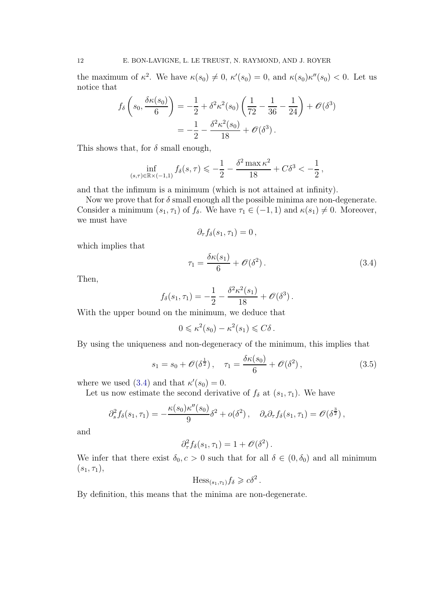the maximum of  $\kappa^2$ . We have  $\kappa(s_0) \neq 0$ ,  $\kappa'(s_0) = 0$ , and  $\kappa(s_0)\kappa''(s_0) < 0$ . Let us notice that

$$
f_{\delta}\left(s_0, \frac{\delta \kappa(s_0)}{6}\right) = -\frac{1}{2} + \delta^2 \kappa^2(s_0) \left(\frac{1}{72} - \frac{1}{36} - \frac{1}{24}\right) + \mathcal{O}(\delta^3)
$$
  
=  $-\frac{1}{2} - \frac{\delta^2 \kappa^2(s_0)}{18} + \mathcal{O}(\delta^3)$ .

This shows that, for  $\delta$  small enough,

$$
\inf_{(s,\tau)\in\mathbb{R}\times(-1,1)} f_{\delta}(s,\tau) \leqslant -\frac{1}{2} - \frac{\delta^2 \max \kappa^2}{18} + C\delta^3 < -\frac{1}{2},
$$

and that the infimum is a minimum (which is not attained at infinity).

Now we prove that for  $\delta$  small enough all the possible minima are non-degenerate. Consider a minimum  $(s_1, \tau_1)$  of  $f_\delta$ . We have  $\tau_1 \in (-1, 1)$  and  $\kappa(s_1) \neq 0$ . Moreover, we must have

$$
\partial_{\tau}f_{\delta}(s_1,\tau_1)=0\,,
$$

which implies that

<span id="page-11-0"></span>
$$
\tau_1 = \frac{\delta \kappa(s_1)}{6} + \mathcal{O}(\delta^2). \tag{3.4}
$$

Then,

$$
f_{\delta}(s_1, \tau_1) = -\frac{1}{2} - \frac{\delta^2 \kappa^2(s_1)}{18} + \mathcal{O}(\delta^3).
$$

With the upper bound on the minimum, we deduce that

$$
0 \leqslant \kappa^2(s_0) - \kappa^2(s_1) \leqslant C\delta.
$$

By using the uniqueness and non-degeneracy of the minimum, this implies that

<span id="page-11-1"></span>
$$
s_1 = s_0 + \mathcal{O}(\delta^{\frac{1}{2}}), \quad \tau_1 = \frac{\delta \kappa(s_0)}{6} + \mathcal{O}(\delta^2), \tag{3.5}
$$

.

where we used [\(3.4\)](#page-11-0) and that  $\kappa'(s_0) = 0$ .

Let us now estimate the second derivative of  $f_{\delta}$  at  $(s_1, \tau_1)$ . We have

$$
\partial_s^2 f_\delta(s_1, \tau_1) = -\frac{\kappa(s_0)\kappa''(s_0)}{9}\delta^2 + o(\delta^2), \quad \partial_s \partial_\tau f_\delta(s_1, \tau_1) = \mathcal{O}(\delta^{\frac{3}{2}}),
$$

and

$$
\partial_{\tau}^2 f_{\delta}(s_1, \tau_1) = 1 + \mathcal{O}(\delta^2).
$$

We infer that there exist  $\delta_0$ ,  $c > 0$  such that for all  $\delta \in (0, \delta_0)$  and all minimum  $(s_1, \tau_1),$ 

$$
\text{Hess}_{(s_1,\tau_1)} f_\delta \geq c\delta^2
$$

By definition, this means that the minima are non-degenerate.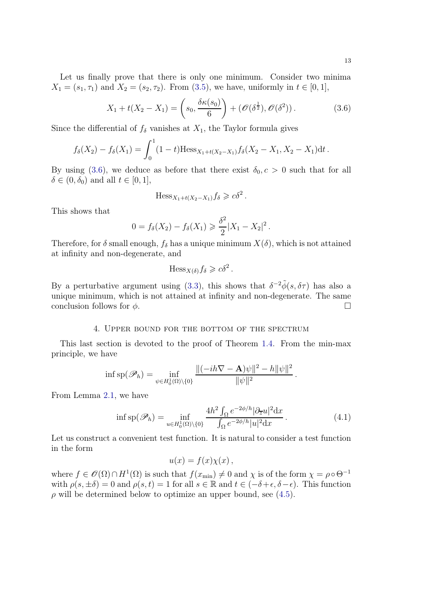Let us finally prove that there is only one minimum. Consider two minima  $X_1 = (s_1, \tau_1)$  and  $X_2 = (s_2, \tau_2)$ . From [\(3.5\)](#page-11-1), we have, uniformly in  $t \in [0, 1]$ ,

<span id="page-12-1"></span>
$$
X_1 + t(X_2 - X_1) = \left(s_0, \frac{\delta \kappa(s_0)}{6}\right) + \left(\mathcal{O}(\delta^{\frac{1}{2}}), \mathcal{O}(\delta^2)\right). \tag{3.6}
$$

Since the differential of  $f_{\delta}$  vanishes at  $X_1$ , the Taylor formula gives

$$
f_{\delta}(X_2) - f_{\delta}(X_1) = \int_0^1 (1-t) \text{Hess}_{X_1 + t(X_2 - X_1)} f_{\delta}(X_2 - X_1, X_2 - X_1) dt.
$$

By using [\(3.6\)](#page-12-1), we deduce as before that there exist  $\delta_0, c > 0$  such that for all  $\delta \in (0, \delta_0)$  and all  $t \in [0, 1],$ 

$$
\mathrm{Hess}_{X_1+t(X_2-X_1)} f_\delta \geq c\delta^2.
$$

This shows that

$$
0 = f_{\delta}(X_2) - f_{\delta}(X_1) \geq \frac{\delta^2}{2}|X_1 - X_2|^2.
$$

Therefore, for  $\delta$  small enough,  $f_{\delta}$  has a unique minimum  $X(\delta)$ , which is not attained at infinity and non-degenerate, and

$$
\mathrm{Hess}_{X(\delta)} f_{\delta} \geq c\delta^2.
$$

By a perturbative argument using [\(3.3\)](#page-10-0), this shows that  $\delta^{-2} \tilde{\phi}(s, \delta \tau)$  has also a unique minimum, which is not attained at infinity and non-degenerate. The same conclusion follows for  $\phi$ .

### 4. Upper bound for the bottom of the spectrum

<span id="page-12-0"></span>This last section is devoted to the proof of Theorem [1.4.](#page-3-1) From the min-max principle, we have

$$
\inf \mathrm{sp}(\mathscr{P}_h) = \inf_{\psi \in H_0^1(\Omega) \setminus \{0\}} \frac{\|(-ih\nabla - \mathbf{A})\psi\|^2 - h\|\psi\|^2}{\|\psi\|^2}.
$$

From Lemma [2.1,](#page-4-1) we have

<span id="page-12-2"></span>
$$
\inf \mathrm{sp}(\mathscr{P}_h) = \inf_{u \in H_0^1(\Omega) \setminus \{0\}} \frac{4h^2 \int_{\Omega} e^{-2\phi/h} |\partial_{\overline{z}} u|^2 \mathrm{d}x}{\int_{\Omega} e^{-2\phi/h} |u|^2 \mathrm{d}x} \,. \tag{4.1}
$$

Let us construct a convenient test function. It is natural to consider a test function in the form

$$
u(x) = f(x)\chi(x) ,
$$

where  $f \in \mathscr{O}(\Omega) \cap H^1(\Omega)$  is such that  $f(x_{\min}) \neq 0$  and  $\chi$  is of the form  $\chi = \rho \circ \Theta^{-1}$ with  $\rho(s, \pm \delta) = 0$  and  $\rho(s, t) = 1$  for all  $s \in \mathbb{R}$  and  $t \in (-\delta + \epsilon, \delta - \epsilon)$ . This function  $\rho$  will be determined below to optimize an upper bound, see [\(4.5\)](#page-14-0).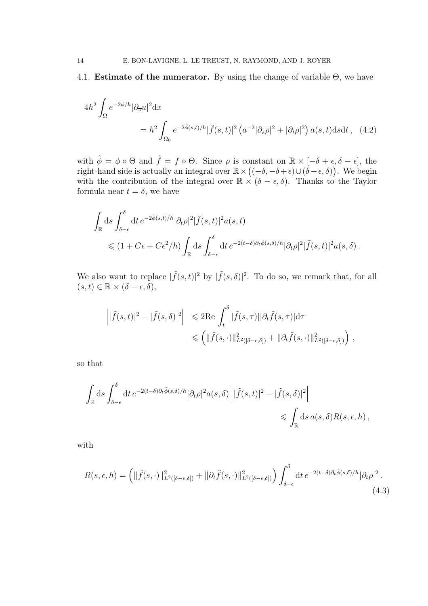# 4.1. **Estimate of the numerator.** By using the change of variable  $\Theta$ , we have

<span id="page-13-1"></span>
$$
4h^2 \int_{\Omega} e^{-2\phi/h} |\partial_{\overline{z}} u|^2 dx
$$
  
=  $h^2 \int_{\Omega_0} e^{-2\tilde{\phi}(s,t)/h} |\tilde{f}(s,t)|^2 (a^{-2} |\partial_s \rho|^2 + |\partial_t \rho|^2) a(s,t) ds dt$ , (4.2)

with  $\tilde{\phi} = \phi \circ \Theta$  and  $\tilde{f} = f \circ \Theta$ . Since  $\rho$  is constant on  $\mathbb{R} \times [-\delta + \epsilon, \delta - \epsilon]$ , the right-hand side is actually an integral over  $\mathbb{R} \times ((-\delta, -\delta + \epsilon) \cup (\delta - \epsilon, \delta))$ . We begin with the contribution of the integral over  $\mathbb{R} \times (\delta - \epsilon, \delta)$ . Thanks to the Taylor formula near  $t = \delta$ , we have

$$
\int_{\mathbb{R}} ds \int_{\delta-\epsilon}^{\delta} dt \, e^{-2\tilde{\phi}(s,t)/h} |\partial_t \rho|^2 |\tilde{f}(s,t)|^2 a(s,t) \n\leq (1 + C\epsilon + C\epsilon^2/h) \int_{\mathbb{R}} ds \int_{\delta-\epsilon}^{\delta} dt \, e^{-2(t-\delta)\partial_t \tilde{\phi}(s,\delta)/h} |\partial_t \rho|^2 |\tilde{f}(s,t)|^2 a(s,\delta).
$$

We also want to replace  $|\tilde{f}(s,t)|^2$  by  $|\tilde{f}(s,\delta)|^2$ . To do so, we remark that, for all  $(s, t) \in \mathbb{R} \times (\delta - \epsilon, \overline{\delta}),$ 

$$
\left| |\tilde{f}(s,t)|^2 - |\tilde{f}(s,\delta)|^2 \right| \leq 2\text{Re} \int_t^{\delta} |\tilde{f}(s,\tau)||\partial_t \tilde{f}(s,\tau)| d\tau
$$
  

$$
\leq \left( \|\tilde{f}(s,\cdot)\|_{L^2([\delta-\epsilon,\delta])}^2 + \|\partial_t \tilde{f}(s,\cdot)\|_{L^2([\delta-\epsilon,\delta])}^2 \right) ,
$$

so that

$$
\int_{\mathbb{R}} ds \int_{\delta-\epsilon}^{\delta} dt \, e^{-2(t-\delta)\partial_t \tilde{\phi}(s,\delta)/h} |\partial_t \rho|^2 a(s,\delta) \left| |\tilde{f}(s,t)|^2 - |\tilde{f}(s,\delta)|^2 \right| \leq \int_{\mathbb{R}} ds \, a(s,\delta) R(s,\epsilon,h) ,
$$

with

<span id="page-13-0"></span>
$$
R(s,\epsilon,h) = \left( \|\tilde{f}(s,\cdot)\|_{L^2([\delta-\epsilon,\delta])}^2 + \|\partial_t \tilde{f}(s,\cdot)\|_{L^2([\delta-\epsilon,\delta])}^2 \right) \int_{\delta-\epsilon}^{\delta} dt \, e^{-2(t-\delta)\partial_t \tilde{\phi}(s,\delta)/h} |\partial_t \rho|^2. \tag{4.3}
$$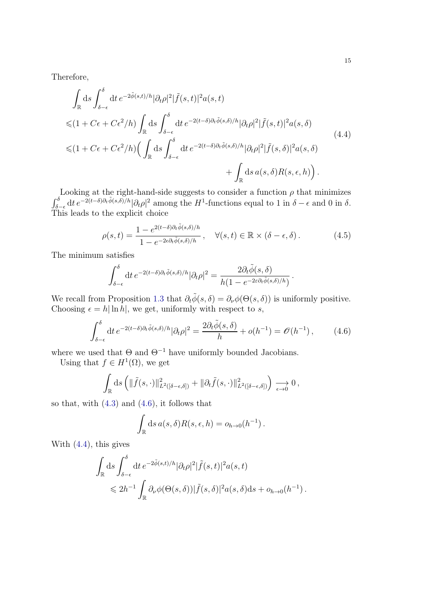15

Therefore,

<span id="page-14-2"></span>
$$
\int_{\mathbb{R}} ds \int_{\delta-\epsilon}^{\delta} dt \, e^{-2\tilde{\phi}(s,t)/h} |\partial_t \rho|^2 |\tilde{f}(s,t)|^2 a(s,t)
$$
  
\n
$$
\leq (1 + C\epsilon + C\epsilon^2/h) \int_{\mathbb{R}} ds \int_{\delta-\epsilon}^{\delta} dt \, e^{-2(t-\delta)\partial_t \tilde{\phi}(s,\delta)/h} |\partial_t \rho|^2 |\tilde{f}(s,t)|^2 a(s,\delta)
$$
  
\n
$$
\leq (1 + C\epsilon + C\epsilon^2/h) \Big( \int_{\mathbb{R}} ds \int_{\delta-\epsilon}^{\delta} dt \, e^{-2(t-\delta)\partial_t \tilde{\phi}(s,\delta)/h} |\partial_t \rho|^2 |\tilde{f}(s,\delta)|^2 a(s,\delta)
$$
  
\n
$$
+ \int_{\mathbb{R}} ds \, a(s,\delta) R(s,\epsilon,h) \Big).
$$
\n(4.4)

Looking at the right-hand-side suggests to consider a function  $\rho$  that minimizes  $\int_{\delta-\epsilon}^{\delta} dt e^{-2(t-\delta)\partial_t \tilde{\phi}(s,\delta)/h} |\partial_t \rho|^2$  among the H<sup>1</sup>-functions equal to 1 in  $\delta-\epsilon$  and 0 in  $\delta$ . This leads to the explicit choice

<span id="page-14-0"></span>
$$
\rho(s,t) = \frac{1 - e^{2(t-\delta)\partial_t \tilde{\phi}(s,\delta)/h}}{1 - e^{-2\epsilon \partial_t \tilde{\phi}(s,\delta)/h}}, \quad \forall (s,t) \in \mathbb{R} \times (\delta - \epsilon, \delta).
$$
 (4.5)

.

The minimum satisfies

$$
\int_{\delta-\epsilon}^{\delta} dt \, e^{-2(t-\delta)\partial_t \tilde{\phi}(s,\delta)/h} |\partial_t \rho|^2 = \frac{2\partial_t \tilde{\phi}(s,\delta)}{h(1 - e^{-2\varepsilon \partial_t \tilde{\phi}(s,\delta)/h})}
$$

We recall from Proposition [1.3](#page-2-0) that  $\partial_t \tilde{\phi}(s, \delta) = \partial_\nu \phi(\Theta(s, \delta))$  is uniformly positive. Choosing  $\epsilon = h |\ln h|$ , we get, uniformly with respect to s,

<span id="page-14-1"></span>
$$
\int_{\delta-\epsilon}^{\delta} dt \, e^{-2(t-\delta)\partial_t \tilde{\phi}(s,\delta)/h} |\partial_t \rho|^2 = \frac{2\partial_t \tilde{\phi}(s,\delta)}{h} + o(h^{-1}) = \mathcal{O}(h^{-1}),\tag{4.6}
$$

where we used that  $\Theta$  and  $\Theta^{-1}$  have uniformly bounded Jacobians.

Using that  $f \in H^1(\Omega)$ , we get

 $\ddot{\phantom{0}}$ 

$$
\int_{\mathbb{R}} ds \left( \|\tilde{f}(s,\cdot)\|_{L^2([\delta-\epsilon,\delta])}^2 + \|\partial_t \tilde{f}(s,\cdot)\|_{L^2([\delta-\epsilon,\delta])}^2 \right) \xrightarrow[\epsilon \to 0]{} 0,
$$

so that, with  $(4.3)$  and  $(4.6)$ , it follows that

$$
\int_{\mathbb{R}} ds \, a(s, \delta) R(s, \epsilon, h) = o_{h \to 0}(h^{-1}).
$$

With [\(4.4\)](#page-14-2), this gives

$$
\int_{\mathbb{R}} ds \int_{\delta-\epsilon}^{\delta} dt \, e^{-2\tilde{\phi}(s,t)/h} |\partial_t \rho|^2 |\tilde{f}(s,t)|^2 a(s,t) \n\leq 2h^{-1} \int_{\mathbb{R}} \partial_\nu \phi(\Theta(s,\delta)) |\tilde{f}(s,\delta)|^2 a(s,\delta) ds + o_{h\to 0}(h^{-1}).
$$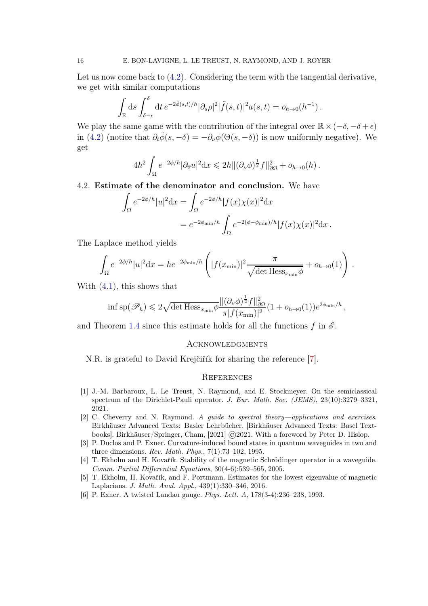Let us now come back to  $(4.2)$ . Considering the term with the tangential derivative, we get with similar computations

$$
\int_{\mathbb{R}} ds \int_{\delta-\epsilon}^{\delta} dt e^{-2\tilde{\phi}(s,t)/h} |\partial_s \rho|^2 |\tilde{f}(s,t)|^2 a(s,t) = o_{h\to 0}(h^{-1}).
$$

We play the same game with the contribution of the integral over  $\mathbb{R} \times (-\delta, -\delta + \epsilon)$ in [\(4.2\)](#page-13-1) (notice that  $\partial_t \tilde{\phi}(s, -\delta) = -\partial_\nu \phi(\Theta(s, -\delta))$  is now uniformly negative). We get

$$
4h^2 \int_{\Omega} e^{-2\phi/h} |\partial_{\overline{z}} u|^2 \mathrm{d}x \leq 2h \|(\partial_{\nu}\phi)^{\frac{1}{2}} f\|_{\partial\Omega}^2 + o_{h \to 0}(h) .
$$

### 4.2. Estimate of the denominator and conclusion. We have

$$
\int_{\Omega} e^{-2\phi/h} |u|^2 dx = \int_{\Omega} e^{-2\phi/h} |f(x)\chi(x)|^2 dx
$$
  
=  $e^{-2\phi_{\min}/h} \int_{\Omega} e^{-2(\phi - \phi_{\min})/h} |f(x)\chi(x)|^2 dx$ .

The Laplace method yields

$$
\int_{\Omega} e^{-2\phi/h} |u|^2 dx = h e^{-2\phi_{\min}/h} \left( |f(x_{\min})|^2 \frac{\pi}{\sqrt{\det \text{Hess}_{x_{\min}} \phi}} + o_{h \to 0}(1) \right).
$$

With [\(4.1\)](#page-12-2), this shows that

$$
\inf \mathrm{sp}(\mathscr{P}_h) \leqslant 2\sqrt{\det \mathrm{Hess}_{x_{\min}}\phi} \frac{\|(\partial_\nu \phi)^{\frac{1}{2}} f\|_{\partial \Omega}^2}{\pi |f(x_{\min})|^2} (1 + o_{h \to 0}(1)) e^{2\phi_{\min}/h},
$$

and Theorem [1.4](#page-3-1) since this estimate holds for all the functions f in  $\mathscr E$ .

# **ACKNOWLEDGMENTS**

N.R. is grateful to David Krejčiřík for sharing the reference [\[7\]](#page-16-2).

#### **REFERENCES**

- <span id="page-15-3"></span>[1] J.-M. Barbaroux, L. Le Treust, N. Raymond, and E. Stockmeyer. On the semiclassical spectrum of the Dirichlet-Pauli operator. J. Eur. Math. Soc. (JEMS), 23(10):3279–3321, 2021.
- <span id="page-15-5"></span>[2] C. Cheverry and N. Raymond. A guide to spectral theory—applications and exercises. Birkhäuser Advanced Texts: Basler Lehrbücher. [Birkhäuser Advanced Texts: Basel Textbooks]. Birkhäuser/Springer, Cham, [2021] ©2021. With a foreword by Peter D. Hislop.
- <span id="page-15-1"></span>[3] P. Duclos and P. Exner. Curvature-induced bound states in quantum waveguides in two and three dimensions. Rev. Math. Phys., 7(1):73–102, 1995.
- <span id="page-15-2"></span>[4] T. Ekholm and H. Kovařík. Stability of the magnetic Schrödinger operator in a waveguide. Comm. Partial Differential Equations, 30(4-6):539–565, 2005.
- <span id="page-15-4"></span>[5] T. Ekholm, H. Kovařík, and F. Portmann. Estimates for the lowest eigenvalue of magnetic Laplacians. J. Math. Anal. Appl., 439(1):330–346, 2016.
- <span id="page-15-0"></span>[6] P. Exner. A twisted Landau gauge. Phys. Lett. A, 178(3-4):236–238, 1993.